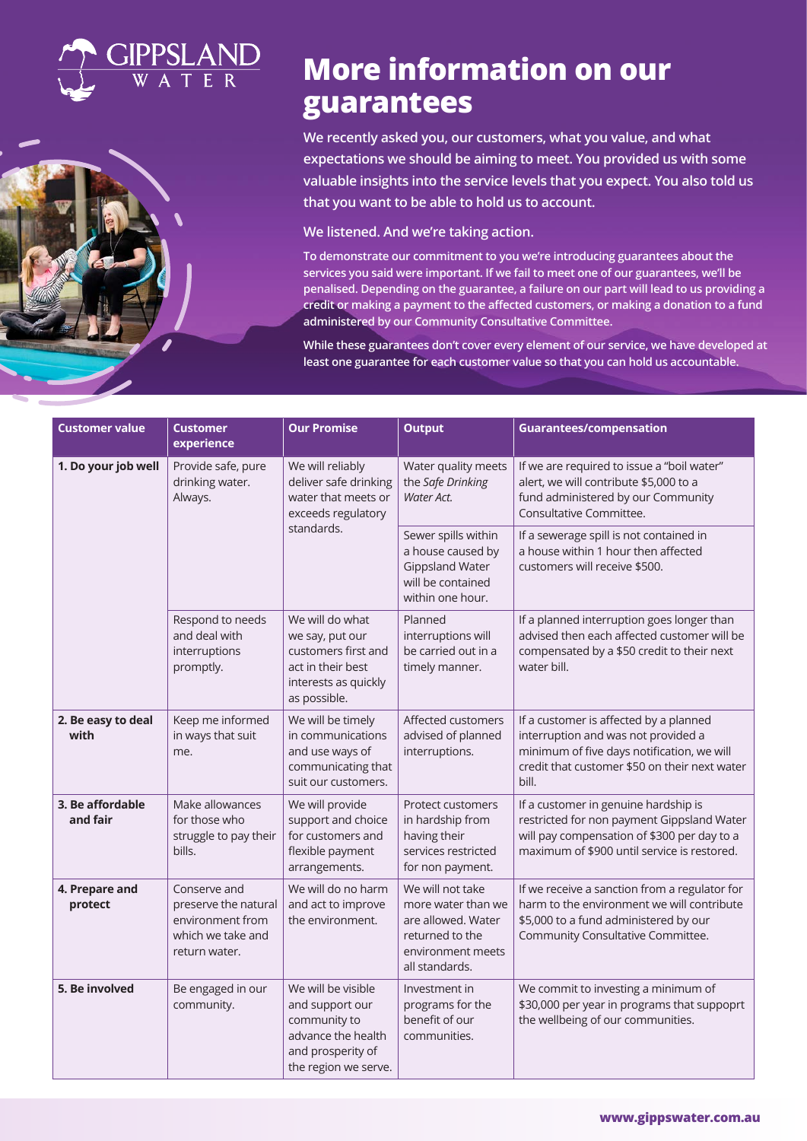

# **More information on our guarantees**

**We recently asked you, our customers, what you value, and what expectations we should be aiming to meet. You provided us with some valuable insights into the service levels that you expect. You also told us that you want to be able to hold us to account.**

**We listened. And we're taking action.** 

**To demonstrate our commitment to you we're introducing guarantees about the services you said were important. If we fail to meet one of our guarantees, we'll be penalised. Depending on the guarantee, a failure on our part will lead to us providing a credit or making a payment to the affected customers, or making a donation to a fund administered by our Community Consultative Committee.** 

**While these guarantees don't cover every element of our service, we have developed at least one guarantee for each customer value so that you can hold us accountable.**

| <b>Customer value</b>        | <b>Customer</b><br>experience                                                                  | <b>Our Promise</b>                                                                                                       | <b>Output</b>                                                                                                          | <b>Guarantees/compensation</b>                                                                                                                                                        |
|------------------------------|------------------------------------------------------------------------------------------------|--------------------------------------------------------------------------------------------------------------------------|------------------------------------------------------------------------------------------------------------------------|---------------------------------------------------------------------------------------------------------------------------------------------------------------------------------------|
| 1. Do your job well          | Provide safe, pure<br>drinking water.<br>Always.                                               | We will reliably<br>deliver safe drinking<br>water that meets or<br>exceeds regulatory<br>standards.                     | Water quality meets<br>the Safe Drinking<br>Water Act.                                                                 | If we are required to issue a "boil water"<br>alert, we will contribute \$5,000 to a<br>fund administered by our Community<br>Consultative Committee.                                 |
|                              |                                                                                                |                                                                                                                          | Sewer spills within<br>a house caused by<br>Gippsland Water<br>will be contained<br>within one hour.                   | If a sewerage spill is not contained in<br>a house within 1 hour then affected<br>customers will receive \$500.                                                                       |
|                              | Respond to needs<br>and deal with<br>interruptions<br>promptly.                                | We will do what<br>we say, put our<br>customers first and<br>act in their best<br>interests as quickly<br>as possible.   | Planned<br>interruptions will<br>be carried out in a<br>timely manner.                                                 | If a planned interruption goes longer than<br>advised then each affected customer will be<br>compensated by a \$50 credit to their next<br>water bill.                                |
| 2. Be easy to deal<br>with   | Keep me informed<br>in ways that suit<br>me.                                                   | We will be timely<br>in communications<br>and use ways of<br>communicating that<br>suit our customers.                   | Affected customers<br>advised of planned<br>interruptions.                                                             | If a customer is affected by a planned<br>interruption and was not provided a<br>minimum of five days notification, we will<br>credit that customer \$50 on their next water<br>bill. |
| 3. Be affordable<br>and fair | Make allowances<br>for those who<br>struggle to pay their<br>bills.                            | We will provide<br>support and choice<br>for customers and<br>flexible payment<br>arrangements.                          | <b>Protect customers</b><br>in hardship from<br>having their<br>services restricted<br>for non payment.                | If a customer in genuine hardship is<br>restricted for non payment Gippsland Water<br>will pay compensation of \$300 per day to a<br>maximum of \$900 until service is restored.      |
| 4. Prepare and<br>protect    | Conserve and<br>preserve the natural<br>environment from<br>which we take and<br>return water. | We will do no harm<br>and act to improve<br>the environment.                                                             | We will not take<br>more water than we<br>are allowed. Water<br>returned to the<br>environment meets<br>all standards. | If we receive a sanction from a regulator for<br>harm to the environment we will contribute<br>\$5,000 to a fund administered by our<br>Community Consultative Committee.             |
| 5. Be involved               | Be engaged in our<br>community.                                                                | We will be visible<br>and support our<br>community to<br>advance the health<br>and prosperity of<br>the region we serve. | Investment in<br>programs for the<br>benefit of our<br>communities.                                                    | We commit to investing a minimum of<br>\$30,000 per year in programs that suppoprt<br>the wellbeing of our communities.                                                               |